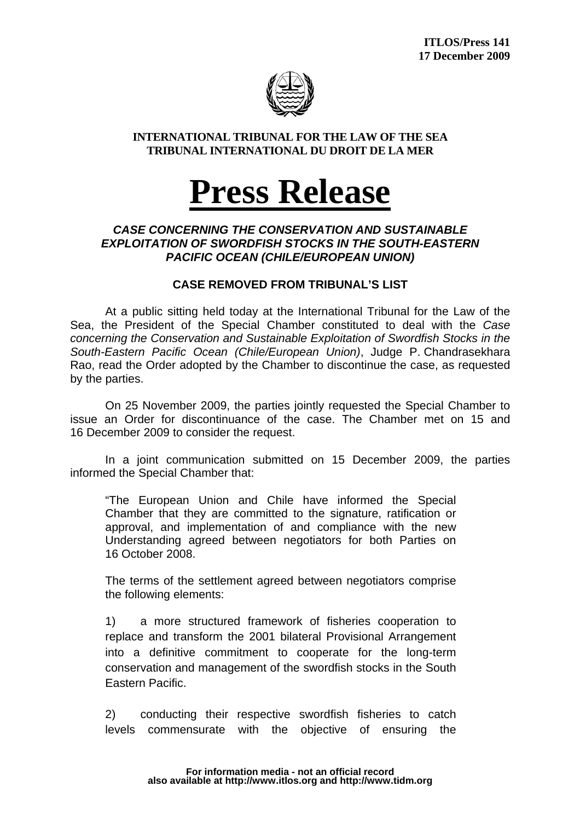

## **INTERNATIONAL TRIBUNAL FOR THE LAW OF THE SEA TRIBUNAL INTERNATIONAL DU DROIT DE LA MER**

## **Press Release**

## *CASE CONCERNING THE CONSERVATION AND SUSTAINABLE EXPLOITATION OF SWORDFISH STOCKS IN THE SOUTH-EASTERN PACIFIC OCEAN (CHILE/EUROPEAN UNION)*

## **CASE REMOVED FROM TRIBUNAL'S LIST**

At a public sitting held today at the International Tribunal for the Law of the Sea, the President of the Special Chamber constituted to deal with the *Case concerning the Conservation and Sustainable Exploitation of Swordfish Stocks in the South-Eastern Pacific Ocean (Chile/European Union)*, Judge P. Chandrasekhara Rao, read the Order adopted by the Chamber to discontinue the case, as requested by the parties.

On 25 November 2009, the parties jointly requested the Special Chamber to issue an Order for discontinuance of the case. The Chamber met on 15 and 16 December 2009 to consider the request.

In a joint communication submitted on 15 December 2009, the parties informed the Special Chamber that:

"The European Union and Chile have informed the Special Chamber that they are committed to the signature, ratification or approval, and implementation of and compliance with the new Understanding agreed between negotiators for both Parties on 16 October 2008.

The terms of the settlement agreed between negotiators comprise the following elements:

1) a more structured framework of fisheries cooperation to replace and transform the 2001 bilateral Provisional Arrangement into a definitive commitment to cooperate for the long-term conservation and management of the swordfish stocks in the South Eastern Pacific.

2) conducting their respective swordfish fisheries to catch levels commensurate with the objective of ensuring the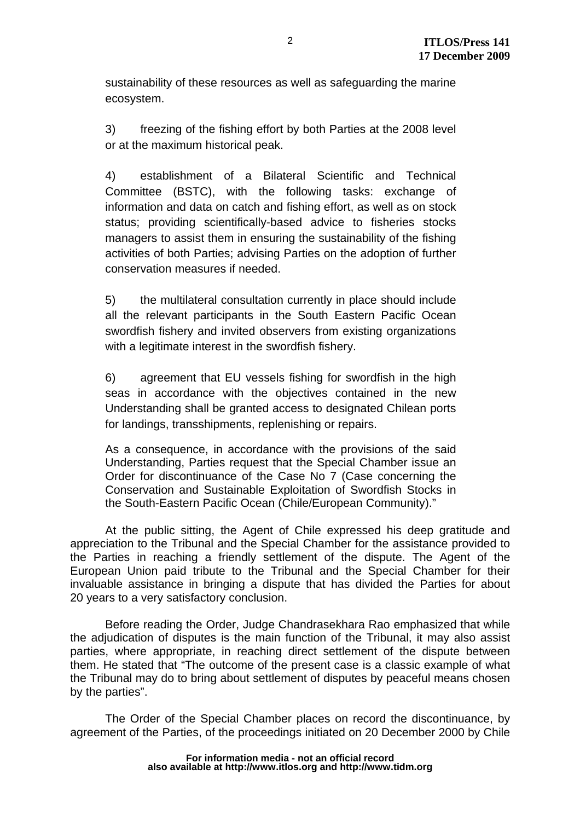sustainability of these resources as well as safeguarding the marine ecosystem.

3) freezing of the fishing effort by both Parties at the 2008 level or at the maximum historical peak.

4) establishment of a Bilateral Scientific and Technical Committee (BSTC), with the following tasks: exchange of information and data on catch and fishing effort, as well as on stock status; providing scientifically-based advice to fisheries stocks managers to assist them in ensuring the sustainability of the fishing activities of both Parties; advising Parties on the adoption of further conservation measures if needed.

5) the multilateral consultation currently in place should include all the relevant participants in the South Eastern Pacific Ocean swordfish fishery and invited observers from existing organizations with a legitimate interest in the swordfish fishery.

6) agreement that EU vessels fishing for swordfish in the high seas in accordance with the objectives contained in the new Understanding shall be granted access to designated Chilean ports for landings, transshipments, replenishing or repairs.

As a consequence, in accordance with the provisions of the said Understanding, Parties request that the Special Chamber issue an Order for discontinuance of the Case No 7 (Case concerning the Conservation and Sustainable Exploitation of Swordfish Stocks in the South-Eastern Pacific Ocean (Chile/European Community)."

At the public sitting, the Agent of Chile expressed his deep gratitude and appreciation to the Tribunal and the Special Chamber for the assistance provided to the Parties in reaching a friendly settlement of the dispute. The Agent of the European Union paid tribute to the Tribunal and the Special Chamber for their invaluable assistance in bringing a dispute that has divided the Parties for about 20 years to a very satisfactory conclusion.

Before reading the Order, Judge Chandrasekhara Rao emphasized that while the adjudication of disputes is the main function of the Tribunal, it may also assist parties, where appropriate, in reaching direct settlement of the dispute between them. He stated that "The outcome of the present case is a classic example of what the Tribunal may do to bring about settlement of disputes by peaceful means chosen by the parties".

The Order of the Special Chamber places on record the discontinuance, by agreement of the Parties, of the proceedings initiated on 20 December 2000 by Chile